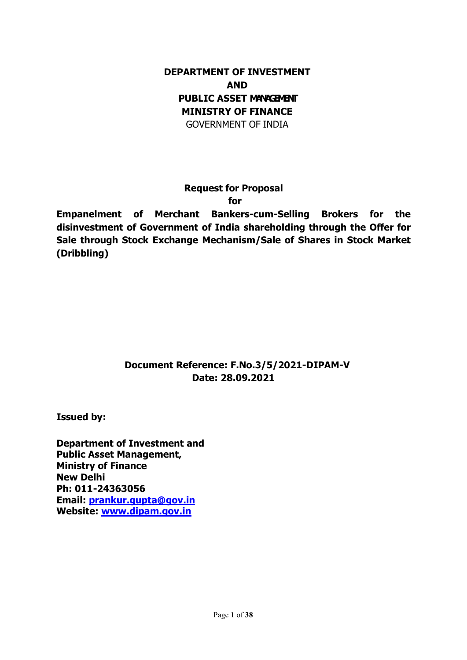### DEPARTMENT OF INVESTMENT AND PUBLIC ASSET MANAGEMENT MINISTRY OF FINANCE GOVERNMENT OF INDIA

Request for Proposal

for

Empanelment of Merchant Bankers-cum-Selling Brokers for the disinvestment of Government of India shareholding through the Offer for Sale through Stock Exchange Mechanism/Sale of Shares in Stock Market (Dribbling)

## Document Reference: F.No.3/5/2021-DIPAM-V Date: 28.09.2021

Issued by:

Department of Investment and Public Asset Management, Ministry of Finance New Delhi Ph: 011-24363056 Email: prankur.gupta@gov.in Website: www.dipam.gov.in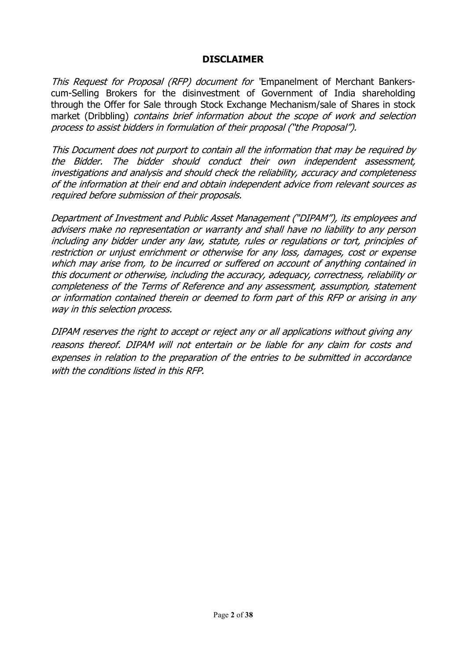#### DISCLAIMER

This Request for Proposal (RFP) document for 'Empanelment of Merchant Bankerscum-Selling Brokers for the disinvestment of Government of India shareholding through the Offer for Sale through Stock Exchange Mechanism/sale of Shares in stock market (Dribbling) contains brief information about the scope of work and selection process to assist bidders in formulation of their proposal ("the Proposal").

This Document does not purport to contain all the information that may be required by the Bidder. The bidder should conduct their own independent assessment, investigations and analysis and should check the reliability, accuracy and completeness of the information at their end and obtain independent advice from relevant sources as required before submission of their proposals.

Department of Investment and Public Asset Management ("DIPAM"), its employees and advisers make no representation or warranty and shall have no liability to any person including any bidder under any law, statute, rules or regulations or tort, principles of restriction or unjust enrichment or otherwise for any loss, damages, cost or expense which may arise from, to be incurred or suffered on account of anything contained in this document or otherwise, including the accuracy, adequacy, correctness, reliability or completeness of the Terms of Reference and any assessment, assumption, statement or information contained therein or deemed to form part of this RFP or arising in any way in this selection process.

DIPAM reserves the right to accept or reject any or all applications without giving any reasons thereof. DIPAM will not entertain or be liable for any claim for costs and expenses in relation to the preparation of the entries to be submitted in accordance with the conditions listed in this RFP.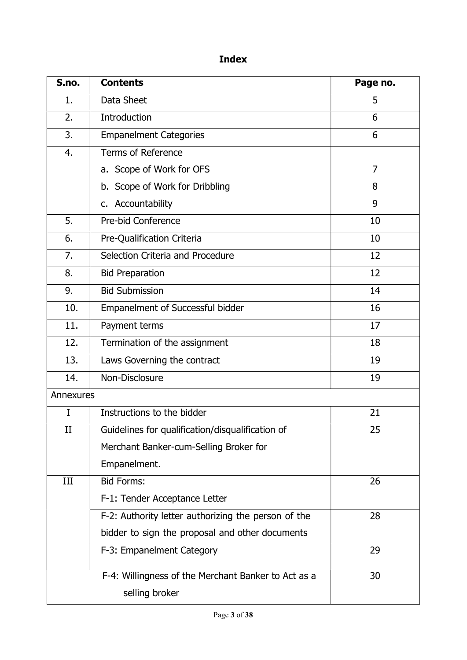# Index

| S.no.     | <b>Contents</b>                                     | Page no. |
|-----------|-----------------------------------------------------|----------|
| 1.        | Data Sheet                                          | 5        |
| 2.        | Introduction                                        | 6        |
| 3.        | <b>Empanelment Categories</b>                       | 6        |
| 4.        | <b>Terms of Reference</b>                           |          |
|           | a. Scope of Work for OFS                            | 7        |
|           | b. Scope of Work for Dribbling                      | 8        |
|           | c. Accountability                                   | 9        |
| 5.        | Pre-bid Conference                                  | 10       |
| 6.        | Pre-Qualification Criteria                          | 10       |
| 7.        | Selection Criteria and Procedure                    | 12       |
| 8.        | <b>Bid Preparation</b>                              | 12       |
| 9.        | <b>Bid Submission</b>                               | 14       |
| 10.       | Empanelment of Successful bidder                    | 16       |
| 11.       | 17<br>Payment terms                                 |          |
| 12.       | Termination of the assignment<br>18                 |          |
| 13.       | 19<br>Laws Governing the contract                   |          |
| 14.       | Non-Disclosure<br>19                                |          |
| Annexures |                                                     |          |
| I         | Instructions to the bidder                          | 21       |
| П         | Guidelines for qualification/disqualification of    | 25       |
|           | Merchant Banker-cum-Selling Broker for              |          |
|           | Empanelment.                                        |          |
| III       | <b>Bid Forms:</b>                                   | 26       |
|           | F-1: Tender Acceptance Letter                       |          |
|           | F-2: Authority letter authorizing the person of the | 28       |
|           | bidder to sign the proposal and other documents     |          |
|           | F-3: Empanelment Category                           | 29       |
|           | F-4: Willingness of the Merchant Banker to Act as a | 30       |
|           | selling broker                                      |          |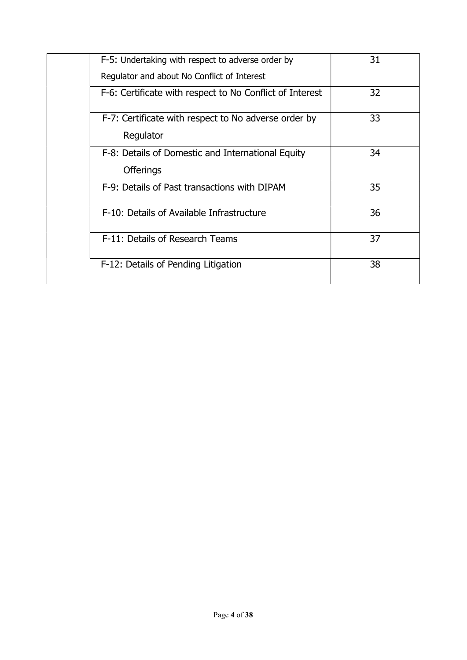| F-5: Undertaking with respect to adverse order by<br>Regulator and about No Conflict of Interest | 31 |
|--------------------------------------------------------------------------------------------------|----|
| F-6: Certificate with respect to No Conflict of Interest                                         | 32 |
| F-7: Certificate with respect to No adverse order by<br>Regulator                                | 33 |
| F-8: Details of Domestic and International Equity<br><b>Offerings</b>                            | 34 |
| F-9: Details of Past transactions with DIPAM                                                     | 35 |
| F-10: Details of Available Infrastructure                                                        | 36 |
| F-11: Details of Research Teams                                                                  | 37 |
| F-12: Details of Pending Litigation                                                              | 38 |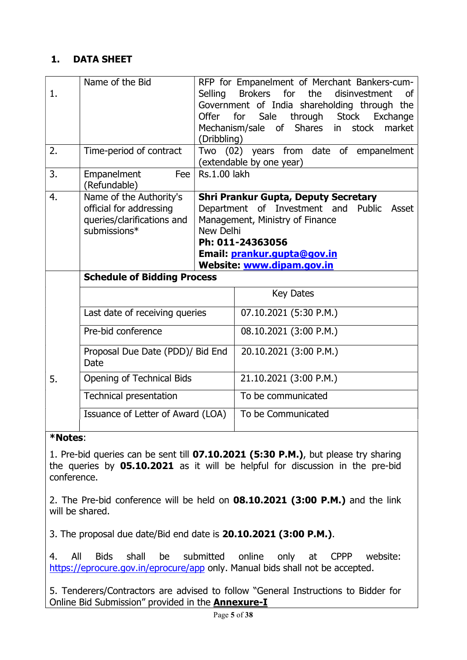#### 1. DATA SHEET

| 1. | Name of the Bid                                                                                  | Selling<br>Offer<br>(Dribbling) | RFP for Empanelment of Merchant Bankers-cum-<br><b>Brokers</b><br>for<br>the<br>disinvestment<br>οf<br>Government of India shareholding through the<br>for<br>Sale<br>through Stock Exchange<br>stock<br>Mechanism/sale of Shares in<br>market |
|----|--------------------------------------------------------------------------------------------------|---------------------------------|------------------------------------------------------------------------------------------------------------------------------------------------------------------------------------------------------------------------------------------------|
| 2. | Time-period of contract                                                                          |                                 | Two (02) years from date of empanelment<br>(extendable by one year)                                                                                                                                                                            |
| 3. | Empanelment<br>Fee<br>(Refundable)                                                               | Rs.1.00 lakh                    |                                                                                                                                                                                                                                                |
| 4. | Name of the Authority's<br>official for addressing<br>queries/clarifications and<br>submissions* | New Delhi                       | <b>Shri Prankur Gupta, Deputy Secretary</b><br>Department of Investment and<br>Public Asset<br>Management, Ministry of Finance<br>Ph: 011-24363056<br>Email: prankur.gupta@gov.in<br>Website: www.dipam.gov.in                                 |
|    | <b>Schedule of Bidding Process</b>                                                               |                                 |                                                                                                                                                                                                                                                |
|    |                                                                                                  |                                 | <b>Key Dates</b>                                                                                                                                                                                                                               |
|    | Last date of receiving queries                                                                   |                                 | 07.10.2021 (5:30 P.M.)                                                                                                                                                                                                                         |
|    | Pre-bid conference                                                                               |                                 | 08.10.2021 (3:00 P.M.)                                                                                                                                                                                                                         |
|    | Proposal Due Date (PDD)/ Bid End<br>Date                                                         |                                 | 20.10.2021 (3:00 P.M.)                                                                                                                                                                                                                         |
| 5. | Opening of Technical Bids                                                                        |                                 | 21.10.2021 (3:00 P.M.)                                                                                                                                                                                                                         |
|    | <b>Technical presentation</b>                                                                    |                                 | To be communicated                                                                                                                                                                                                                             |
|    | Issuance of Letter of Award (LOA)                                                                |                                 | To be Communicated                                                                                                                                                                                                                             |

#### \*Notes:

1. Pre-bid queries can be sent till 07.10.2021 (5:30 P.M.), but please try sharing the queries by 05.10.2021 as it will be helpful for discussion in the pre-bid conference.

2. The Pre-bid conference will be held on 08.10.2021 (3:00 P.M.) and the link will be shared.

3. The proposal due date/Bid end date is 20.10.2021 (3:00 P.M.).

4. All Bids shall be submitted online only at CPPP website: https://eprocure.gov.in/eprocure/app only. Manual bids shall not be accepted.

5. Tenderers/Contractors are advised to follow "General Instructions to Bidder for Online Bid Submission" provided in the **Annexure-I**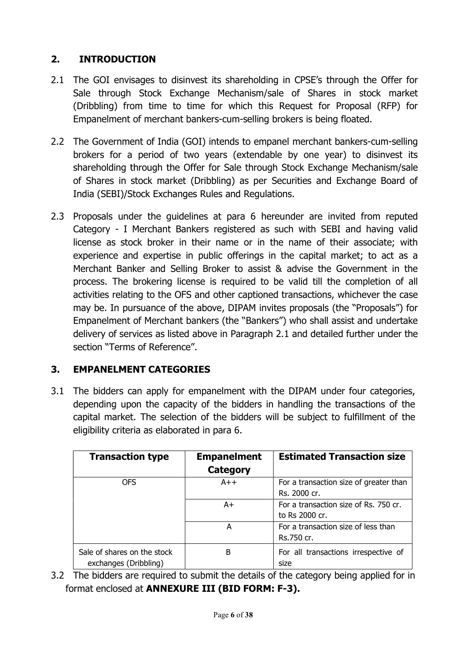## 2. INTRODUCTION

- 2.1 The GOI envisages to disinvest its shareholding in CPSE's through the Offer for Sale through Stock Exchange Mechanism/sale of Shares in stock market (Dribbling) from time to time for which this Request for Proposal (RFP) for Empanelment of merchant bankers-cum-selling brokers is being floated.
- 2.2 The Government of India (GOI) intends to empanel merchant bankers-cum-selling brokers for a period of two years (extendable by one year) to disinvest its shareholding through the Offer for Sale through Stock Exchange Mechanism/sale of Shares in stock market (Dribbling) as per Securities and Exchange Board of India (SEBI)/Stock Exchanges Rules and Regulations.
- 2.3 Proposals under the guidelines at para 6 hereunder are invited from reputed Category - I Merchant Bankers registered as such with SEBI and having valid license as stock broker in their name or in the name of their associate; with experience and expertise in public offerings in the capital market; to act as a Merchant Banker and Selling Broker to assist & advise the Government in the process. The brokering license is required to be valid till the completion of all activities relating to the OFS and other captioned transactions, whichever the case may be. In pursuance of the above, DIPAM invites proposals (the "Proposals") for Empanelment of Merchant bankers (the "Bankers") who shall assist and undertake delivery of services as listed above in Paragraph 2.1 and detailed further under the section "Terms of Reference".

### 3. EMPANELMENT CATEGORIES

3.1 The bidders can apply for empanelment with the DIPAM under four categories, depending upon the capacity of the bidders in handling the transactions of the capital market. The selection of the bidders will be subject to fulfillment of the eligibility criteria as elaborated in para 6.

| <b>Transaction type</b>                              | <b>Empanelment</b><br>Category | <b>Estimated Transaction size</b>                       |
|------------------------------------------------------|--------------------------------|---------------------------------------------------------|
| <b>OFS</b>                                           | $A++$                          | For a transaction size of greater than<br>Rs. 2000 cr.  |
|                                                      | A+                             | For a transaction size of Rs. 750 cr.<br>to Rs 2000 cr. |
|                                                      | А                              | For a transaction size of less than<br>Rs.750 cr.       |
| Sale of shares on the stock<br>exchanges (Dribbling) | в                              | For all transactions irrespective of<br>size            |

3.2 The bidders are required to submit the details of the category being applied for in format enclosed at ANNEXURE III (BID FORM: F-3).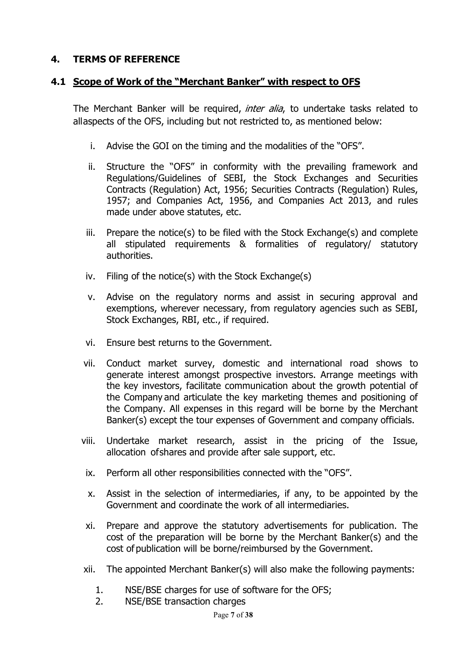#### 4. TERMS OF REFERENCE

#### 4.1 Scope of Work of the "Merchant Banker" with respect to OFS

The Merchant Banker will be required, *inter alia*, to undertake tasks related to all aspects of the OFS, including but not restricted to, as mentioned below:

- i. Advise the GOI on the timing and the modalities of the "OFS".
- ii. Structure the "OFS" in conformity with the prevailing framework and Regulations/Guidelines of SEBI, the Stock Exchanges and Securities Contracts (Regulation) Act, 1956; Securities Contracts (Regulation) Rules, 1957; and Companies Act, 1956, and Companies Act 2013, and rules made under above statutes, etc.
- iii. Prepare the notice(s) to be filed with the Stock Exchange(s) and complete all stipulated requirements & formalities of regulatory/ statutory authorities.
- iv. Filing of the notice(s) with the Stock Exchange(s)
- v. Advise on the regulatory norms and assist in securing approval and exemptions, wherever necessary, from regulatory agencies such as SEBI, Stock Exchanges, RBI, etc., if required.
- vi. Ensure best returns to the Government.
- vii. Conduct market survey, domestic and international road shows to generate interest amongst prospective investors. Arrange meetings with the key investors, facilitate communication about the growth potential of the Company and articulate the key marketing themes and positioning of the Company. All expenses in this regard will be borne by the Merchant Banker(s) except the tour expenses of Government and company officials.
- viii. Undertake market research, assist in the pricing of the Issue, allocation of shares and provide after sale support, etc.
- ix. Perform all other responsibilities connected with the "OFS".
- x. Assist in the selection of intermediaries, if any, to be appointed by the Government and coordinate the work of all intermediaries.
- xi. Prepare and approve the statutory advertisements for publication. The cost of the preparation will be borne by the Merchant Banker(s) and the cost of publication will be borne/reimbursed by the Government.
- xii. The appointed Merchant Banker(s) will also make the following payments:
	- 1. NSE/BSE charges for use of software for the OFS;
	- 2. NSE/BSE transaction charges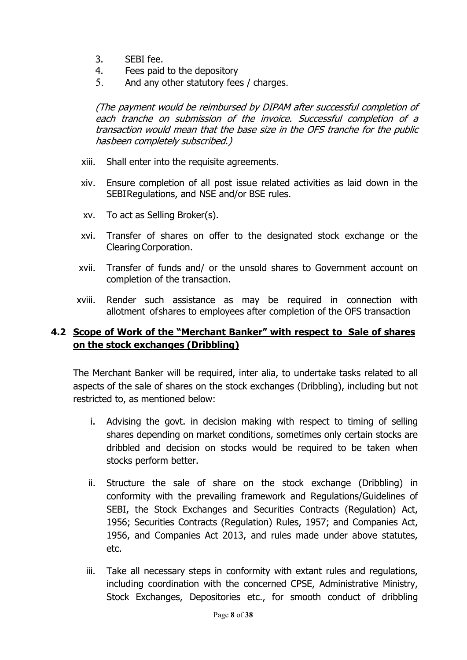- 3. SEBI fee.
- 4. Fees paid to the depository
- 5. And any other statutory fees / charges.

(The payment would be reimbursed by DIPAM after successful completion of each tranche on submission of the invoice. Successful completion of a transaction would mean that the base size in the OFS tranche for the public has been completely subscribed.)

- xiii. Shall enter into the requisite agreements.
- xiv. Ensure completion of all post issue related activities as laid down in the SEBI Regulations, and NSE and/or BSE rules.
- xv. To act as Selling Broker(s).
- xvi. Transfer of shares on offer to the designated stock exchange or the Clearing Corporation.
- xvii. Transfer of funds and/ or the unsold shares to Government account on completion of the transaction.
- xviii. Render such assistance as may be required in connection with allotment of shares to employees after completion of the OFS transaction

### 4.2 Scope of Work of the "Merchant Banker" with respect to Sale of shares on the stock exchanges (Dribbling)

The Merchant Banker will be required, inter alia, to undertake tasks related to all aspects of the sale of shares on the stock exchanges (Dribbling), including but not restricted to, as mentioned below:

- i. Advising the govt. in decision making with respect to timing of selling shares depending on market conditions, sometimes only certain stocks are dribbled and decision on stocks would be required to be taken when stocks perform better.
- ii. Structure the sale of share on the stock exchange (Dribbling) in conformity with the prevailing framework and Regulations/Guidelines of SEBI, the Stock Exchanges and Securities Contracts (Regulation) Act, 1956; Securities Contracts (Regulation) Rules, 1957; and Companies Act, 1956, and Companies Act 2013, and rules made under above statutes, etc.
- iii. Take all necessary steps in conformity with extant rules and regulations, including coordination with the concerned CPSE, Administrative Ministry, Stock Exchanges, Depositories etc., for smooth conduct of dribbling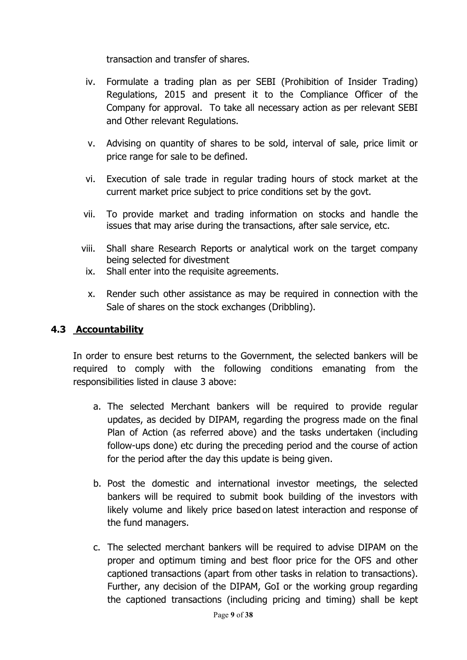transaction and transfer of shares.

- iv. Formulate a trading plan as per SEBI (Prohibition of Insider Trading) Regulations, 2015 and present it to the Compliance Officer of the Company for approval. To take all necessary action as per relevant SEBI and Other relevant Regulations.
- v. Advising on quantity of shares to be sold, interval of sale, price limit or price range for sale to be defined.
- vi. Execution of sale trade in regular trading hours of stock market at the current market price subject to price conditions set by the govt.
- vii. To provide market and trading information on stocks and handle the issues that may arise during the transactions, after sale service, etc.
- viii. Shall share Research Reports or analytical work on the target company being selected for divestment
- ix. Shall enter into the requisite agreements.
- x. Render such other assistance as may be required in connection with the Sale of shares on the stock exchanges (Dribbling).

#### 4.3 Accountability

In order to ensure best returns to the Government, the selected bankers will be required to comply with the following conditions emanating from the responsibilities listed in clause 3 above:

- a. The selected Merchant bankers will be required to provide regular updates, as decided by DIPAM, regarding the progress made on the final Plan of Action (as referred above) and the tasks undertaken (including follow-ups done) etc during the preceding period and the course of action for the period after the day this update is being given.
- b. Post the domestic and international investor meetings, the selected bankers will be required to submit book building of the investors with likely volume and likely price based on latest interaction and response of the fund managers.
- c. The selected merchant bankers will be required to advise DIPAM on the proper and optimum timing and best floor price for the OFS and other captioned transactions (apart from other tasks in relation to transactions). Further, any decision of the DIPAM, GoI or the working group regarding the captioned transactions (including pricing and timing) shall be kept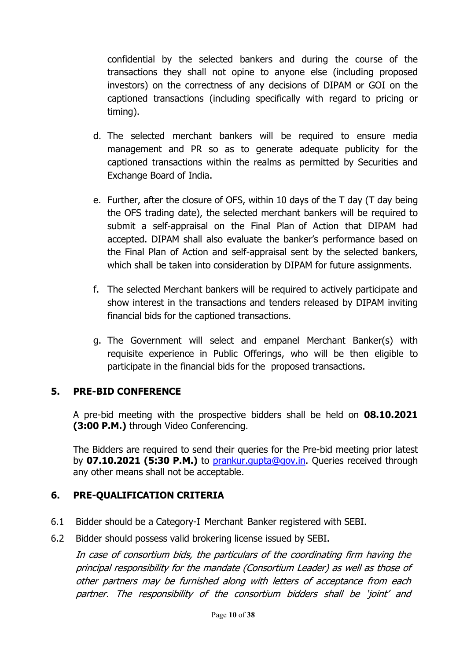confidential by the selected bankers and during the course of the transactions they shall not opine to anyone else (including proposed investors) on the correctness of any decisions of DIPAM or GOI on the captioned transactions (including specifically with regard to pricing or timing).

- d. The selected merchant bankers will be required to ensure media management and PR so as to generate adequate publicity for the captioned transactions within the realms as permitted by Securities and Exchange Board of India.
- e. Further, after the closure of OFS, within 10 days of the T day (T day being the OFS trading date), the selected merchant bankers will be required to submit a self-appraisal on the Final Plan of Action that DIPAM had accepted. DIPAM shall also evaluate the banker's performance based on the Final Plan of Action and self-appraisal sent by the selected bankers, which shall be taken into consideration by DIPAM for future assignments.
- f. The selected Merchant bankers will be required to actively participate and show interest in the transactions and tenders released by DIPAM inviting financial bids for the captioned transactions.
- g. The Government will select and empanel Merchant Banker(s) with requisite experience in Public Offerings, who will be then eligible to participate in the financial bids for the proposed transactions.

### 5. PRE-BID CONFERENCE

A pre-bid meeting with the prospective bidders shall be held on 08.10.2021 (3:00 P.M.) through Video Conferencing.

The Bidders are required to send their queries for the Pre-bid meeting prior latest by **07.10.2021 (5:30 P.M.)** to prankur.gupta@gov.in. Queries received through any other means shall not be acceptable.

## 6. PRE-QUALIFICATION CRITERIA

- 6.1 Bidder should be a Category-I Merchant Banker registered with SEBI.
- 6.2 Bidder should possess valid brokering license issued by SEBI.

In case of consortium bids, the particulars of the coordinating firm having the principal responsibility for the mandate (Consortium Leader) as well as those of other partners may be furnished along with letters of acceptance from each partner. The responsibility of the consortium bidders shall be 'joint' and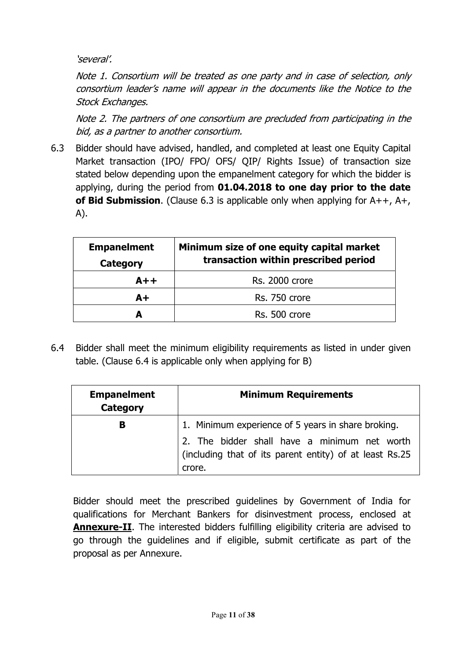'several'.

Note 1. Consortium will be treated as one party and in case of selection, only consortium leader's name will appear in the documents like the Notice to the Stock Exchanges.

Note 2. The partners of one consortium are precluded from participating in the bid, as a partner to another consortium.

6.3 Bidder should have advised, handled, and completed at least one Equity Capital Market transaction (IPO/ FPO/ OFS/ QIP/ Rights Issue) of transaction size stated below depending upon the empanelment category for which the bidder is applying, during the period from 01.04.2018 to one day prior to the date of Bid Submission. (Clause 6.3 is applicable only when applying for  $A++$ ,  $A+$ , A).

| <b>Empanelment</b><br>Category | Minimum size of one equity capital market<br>transaction within prescribed period |
|--------------------------------|-----------------------------------------------------------------------------------|
| $A++$                          | <b>Rs. 2000 crore</b>                                                             |
| $A+$                           | Rs. 750 crore                                                                     |
| А                              | Rs. 500 crore                                                                     |

6.4 Bidder shall meet the minimum eligibility requirements as listed in under given table. (Clause 6.4 is applicable only when applying for B)

| <b>Empanelment</b><br><b>Category</b> | <b>Minimum Requirements</b>                                                                                       |
|---------------------------------------|-------------------------------------------------------------------------------------------------------------------|
| в                                     | 1. Minimum experience of 5 years in share broking.                                                                |
|                                       | 2. The bidder shall have a minimum net worth<br>(including that of its parent entity) of at least Rs.25<br>crore. |

Bidder should meet the prescribed guidelines by Government of India for qualifications for Merchant Bankers for disinvestment process, enclosed at Annexure-II. The interested bidders fulfilling eligibility criteria are advised to go through the guidelines and if eligible, submit certificate as part of the proposal as per Annexure.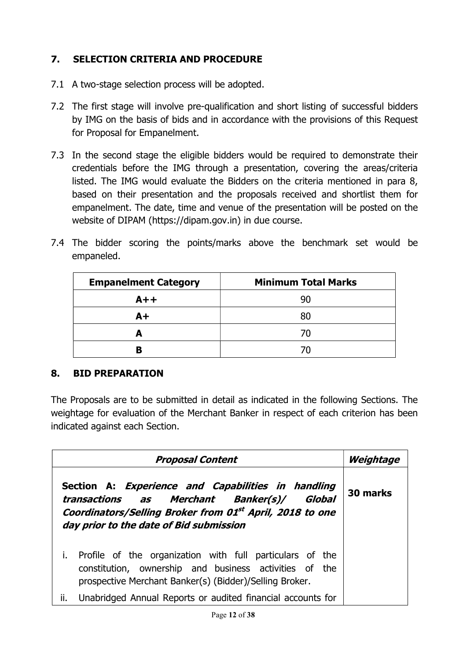## 7. SELECTION CRITERIA AND PROCEDURE

- 7.1 A two-stage selection process will be adopted.
- 7.2 The first stage will involve pre-qualification and short listing of successful bidders by IMG on the basis of bids and in accordance with the provisions of this Request for Proposal for Empanelment.
- 7.3 In the second stage the eligible bidders would be required to demonstrate their credentials before the IMG through a presentation, covering the areas/criteria listed. The IMG would evaluate the Bidders on the criteria mentioned in para 8, based on their presentation and the proposals received and shortlist them for empanelment. The date, time and venue of the presentation will be posted on the website of DIPAM (https://dipam.gov.in) in due course.
- 7.4 The bidder scoring the points/marks above the benchmark set would be empaneled.

| <b>Empanelment Category</b> | <b>Minimum Total Marks</b> |
|-----------------------------|----------------------------|
| $A++$                       | 90                         |
| $A+$                        | 80                         |
|                             | 70                         |
|                             | $\prime$ ()                |

### 8. BID PREPARATION

The Proposals are to be submitted in detail as indicated in the following Sections. The weightage for evaluation of the Merchant Banker in respect of each criterion has been indicated against each Section.

| <b>Proposal Content</b>                                                                                                                                                                                 | Weightage |
|---------------------------------------------------------------------------------------------------------------------------------------------------------------------------------------------------------|-----------|
| Section A: Experience and Capabilities in handling<br>transactions as Merchant Banker(s)/ Global<br>Coordinators/Selling Broker from 01st April, 2018 to one<br>day prior to the date of Bid submission | 30 marks  |
| i.<br>Profile of the organization with full particulars of the<br>constitution, ownership and business activities of the<br>prospective Merchant Banker(s) (Bidder)/Selling Broker.                     |           |
| ii.<br>Unabridged Annual Reports or audited financial accounts for                                                                                                                                      |           |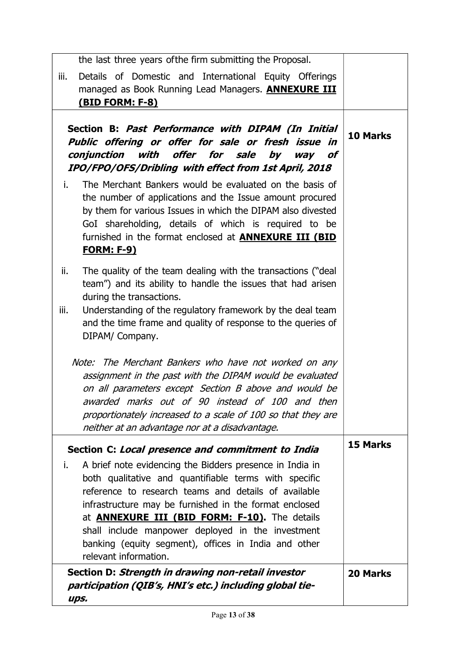| the last three years of the firm submitting the Proposal.                                                                                                                                                                                                                                                                                                                                                                                                                                                                                                                                                                                                                   |                 |
|-----------------------------------------------------------------------------------------------------------------------------------------------------------------------------------------------------------------------------------------------------------------------------------------------------------------------------------------------------------------------------------------------------------------------------------------------------------------------------------------------------------------------------------------------------------------------------------------------------------------------------------------------------------------------------|-----------------|
| iii.<br>Details of Domestic and International Equity Offerings<br>managed as Book Running Lead Managers. <b>ANNEXURE III</b><br><u>(BID FORM: F-8)</u>                                                                                                                                                                                                                                                                                                                                                                                                                                                                                                                      |                 |
| Section B: Past Performance with DIPAM (In Initial<br>Public offering or offer for sale or fresh issue in<br>conjunction<br>with offer for sale by<br>way of<br>IPO/FPO/OFS/Dribling with effect from 1st April, 2018<br>i.<br>The Merchant Bankers would be evaluated on the basis of<br>the number of applications and the Issue amount procured<br>by them for various Issues in which the DIPAM also divested<br>GoI shareholding, details of which is required to be<br>furnished in the format enclosed at <b>ANNEXURE III (BID</b><br><u>FORM: F-9)</u>                                                                                                              | <b>10 Marks</b> |
| The quality of the team dealing with the transactions ("deal"<br>ii.<br>team") and its ability to handle the issues that had arisen<br>during the transactions.<br>Understanding of the regulatory framework by the deal team<br>iii.<br>and the time frame and quality of response to the queries of<br>DIPAM/ Company.<br>Note: The Merchant Bankers who have not worked on any<br>assignment in the past with the DIPAM would be evaluated<br>on all parameters except Section B above and would be<br>awarded marks out of 90 instead of 100 and then<br>proportionately increased to a scale of 100 so that they are<br>neither at an advantage nor at a disadvantage. |                 |
| Section C: Local presence and commitment to India                                                                                                                                                                                                                                                                                                                                                                                                                                                                                                                                                                                                                           | <b>15 Marks</b> |
| A brief note evidencing the Bidders presence in India in<br>i.<br>both qualitative and quantifiable terms with specific<br>reference to research teams and details of available<br>infrastructure may be furnished in the format enclosed<br>at <b>ANNEXURE III (BID FORM: F-10)</b> . The details<br>shall include manpower deployed in the investment<br>banking (equity segment), offices in India and other<br>relevant information.                                                                                                                                                                                                                                    |                 |
| Section D: Strength in drawing non-retail investor<br>participation (QIB's, HNI's etc.) including global tie-<br>ups.                                                                                                                                                                                                                                                                                                                                                                                                                                                                                                                                                       | <b>20 Marks</b> |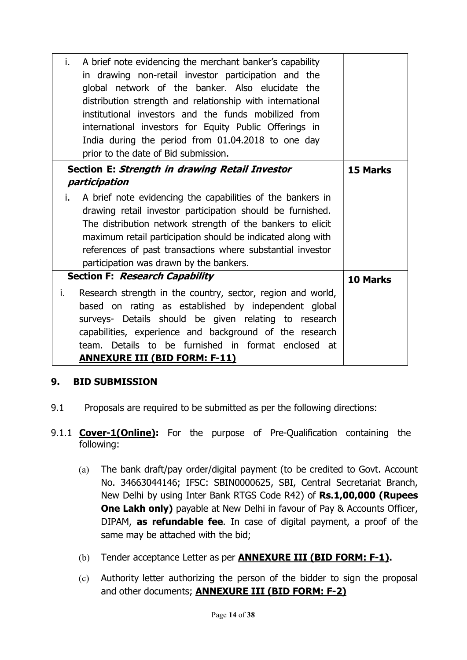| A brief note evidencing the merchant banker's capability<br>i.<br>in drawing non-retail investor participation and the<br>global network of the banker. Also elucidate the<br>distribution strength and relationship with international<br>institutional investors and the funds mobilized from<br>international investors for Equity Public Offerings in<br>India during the period from 01.04.2018 to one day<br>prior to the date of Bid submission. |                 |
|---------------------------------------------------------------------------------------------------------------------------------------------------------------------------------------------------------------------------------------------------------------------------------------------------------------------------------------------------------------------------------------------------------------------------------------------------------|-----------------|
| Section E: Strength in drawing Retail Investor<br>participation                                                                                                                                                                                                                                                                                                                                                                                         | <b>15 Marks</b> |
| i.<br>A brief note evidencing the capabilities of the bankers in<br>drawing retail investor participation should be furnished.<br>The distribution network strength of the bankers to elicit<br>maximum retail participation should be indicated along with<br>references of past transactions where substantial investor<br>participation was drawn by the bankers.                                                                                    |                 |
| Section F: Research Capability                                                                                                                                                                                                                                                                                                                                                                                                                          | <b>10 Marks</b> |
| Research strength in the country, sector, region and world,<br>i.<br>based on rating as established by independent global<br>surveys- Details should be given relating to research<br>capabilities, experience and background of the research<br>team. Details to be furnished in format enclosed at<br><b>ANNEXURE III (BID FORM: F-11)</b>                                                                                                            |                 |

### 9. BID SUBMISSION

- 9.1 Proposals are required to be submitted as per the following directions:
- 9.1.1 **Cover-1(Online):** For the purpose of Pre-Qualification containing the following:
	- (a) The bank draft/pay order/digital payment (to be credited to Govt. Account No. 34663044146; IFSC: SBIN0000625, SBI, Central Secretariat Branch, New Delhi by using Inter Bank RTGS Code R42) of Rs.1,00,000 (Rupees **One Lakh only)** payable at New Delhi in favour of Pay & Accounts Officer, DIPAM, as refundable fee. In case of digital payment, a proof of the same may be attached with the bid;
	- (b) Tender acceptance Letter as per **ANNEXURE III (BID FORM: F-1).**
	- (c) Authority letter authorizing the person of the bidder to sign the proposal and other documents; **ANNEXURE III (BID FORM: F-2)**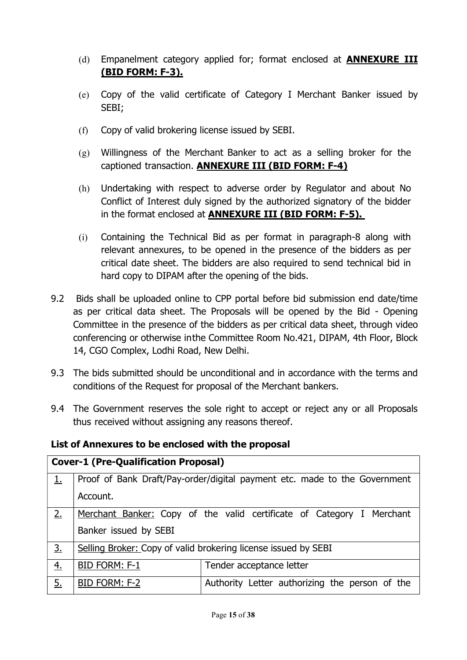- (d) Empanelment category applied for; format enclosed at **ANNEXURE III** (BID FORM: F-3).
- (e) Copy of the valid certificate of Category I Merchant Banker issued by SEBI;
- (f) Copy of valid brokering license issued by SEBI.
- (g) Willingness of the Merchant Banker to act as a selling broker for the captioned transaction. ANNEXURE III (BID FORM: F-4)
- (h) Undertaking with respect to adverse order by Regulator and about No Conflict of Interest duly signed by the authorized signatory of the bidder in the format enclosed at ANNEXURE III (BID FORM: F-5).
- (i) Containing the Technical Bid as per format in paragraph-8 along with relevant annexures, to be opened in the presence of the bidders as per critical date sheet. The bidders are also required to send technical bid in hard copy to DIPAM after the opening of the bids.
- 9.2 Bids shall be uploaded online to CPP portal before bid submission end date/time as per critical data sheet. The Proposals will be opened by the Bid - Opening Committee in the presence of the bidders as per critical data sheet, through video conferencing or otherwise in the Committee Room No.421, DIPAM, 4th Floor, Block 14, CGO Complex, Lodhi Road, New Delhi.
- 9.3 The bids submitted should be unconditional and in accordance with the terms and conditions of the Request for proposal of the Merchant bankers.
- 9.4 The Government reserves the sole right to accept or reject any or all Proposals thus received without assigning any reasons thereof.

List of Annexures to be enclosed with the proposal

| <b>Cover-1 (Pre-Qualification Proposal)</b> |                                                                           |                                                                       |  |
|---------------------------------------------|---------------------------------------------------------------------------|-----------------------------------------------------------------------|--|
| 1.                                          | Proof of Bank Draft/Pay-order/digital payment etc. made to the Government |                                                                       |  |
|                                             | Account.                                                                  |                                                                       |  |
| 2.                                          |                                                                           | Merchant Banker: Copy of the valid certificate of Category I Merchant |  |
|                                             | Banker issued by SEBI                                                     |                                                                       |  |
| 3 <sub>1</sub>                              |                                                                           | Selling Broker: Copy of valid brokering license issued by SEBI        |  |
| $\overline{4}$ .                            | <b>BID FORM: F-1</b>                                                      | Tender acceptance letter                                              |  |
| <u>5.</u>                                   | BID FORM: F-2                                                             | Authority Letter authorizing the person of the                        |  |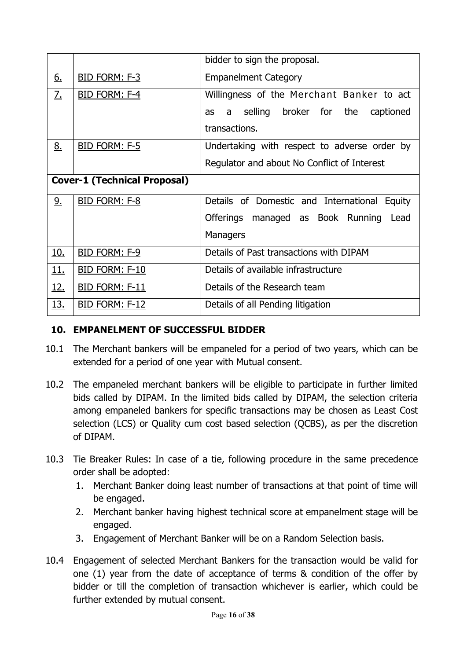|                                     |                       | bidder to sign the proposal.                    |
|-------------------------------------|-----------------------|-------------------------------------------------|
| <u>6.</u>                           | BID FORM: F-3         | <b>Empanelment Category</b>                     |
| <u>7.</u>                           | BID FORM: F-4         | Willingness of the Merchant Banker to act       |
|                                     |                       | selling broker for the<br>captioned<br>a<br>as  |
|                                     |                       | transactions.                                   |
| 8.                                  | <b>BID FORM: F-5</b>  | Undertaking with respect to adverse order by    |
|                                     |                       | Regulator and about No Conflict of Interest     |
| <b>Cover-1 (Technical Proposal)</b> |                       |                                                 |
| 9.                                  | BID FORM: F-8         | Details of Domestic and International<br>Equity |
|                                     |                       | Offerings managed as Book Running Lead          |
|                                     |                       | Managers                                        |
| <u>10.</u>                          | BID FORM: F-9         | Details of Past transactions with DIPAM         |
| 11.                                 | BID FORM: F-10        | Details of available infrastructure             |
| <u>12.</u>                          | <b>BID FORM: F-11</b> | Details of the Research team                    |
| <u>13.</u>                          | BID FORM: F-12        | Details of all Pending litigation               |

# 10. EMPANELMENT OF SUCCESSFUL BIDDER

- 10.1 The Merchant bankers will be empaneled for a period of two years, which can be extended for a period of one year with Mutual consent.
- 10.2 The empaneled merchant bankers will be eligible to participate in further limited bids called by DIPAM. In the limited bids called by DIPAM, the selection criteria among empaneled bankers for specific transactions may be chosen as Least Cost selection (LCS) or Quality cum cost based selection (QCBS), as per the discretion of DIPAM.
- 10.3 Tie Breaker Rules: In case of a tie, following procedure in the same precedence order shall be adopted:
	- 1. Merchant Banker doing least number of transactions at that point of time will be engaged.
	- 2. Merchant banker having highest technical score at empanelment stage will be engaged.
	- 3. Engagement of Merchant Banker will be on a Random Selection basis.
- 10.4 Engagement of selected Merchant Bankers for the transaction would be valid for one (1) year from the date of acceptance of terms & condition of the offer by bidder or till the completion of transaction whichever is earlier, which could be further extended by mutual consent.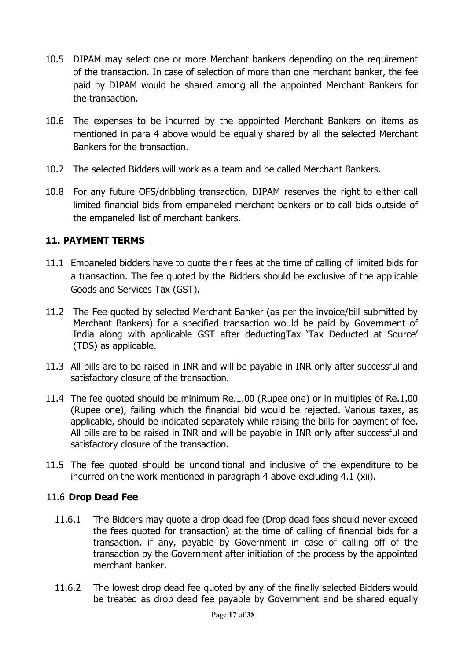- 10.5 DIPAM may select one or more Merchant bankers depending on the requirement of the transaction. In case of selection of more than one merchant banker, the fee paid by DIPAM would be shared among all the appointed Merchant Bankers for the transaction.
- 10.6 The expenses to be incurred by the appointed Merchant Bankers on items as mentioned in para 4 above would be equally shared by all the selected Merchant Bankers for the transaction.
- 10.7 The selected Bidders will work as a team and be called Merchant Bankers.
- 10.8 For any future OFS/dribbling transaction, DIPAM reserves the right to either call limited financial bids from empaneled merchant bankers or to call bids outside of the empaneled list of merchant bankers.

## 11. PAYMENT TERMS

- 11.1 Empaneled bidders have to quote their fees at the time of calling of limited bids for a transaction. The fee quoted by the Bidders should be exclusive of the applicable Goods and Services Tax (GST).
- 11.2 The Fee quoted by selected Merchant Banker (as per the invoice/bill submitted by Merchant Bankers) for a specified transaction would be paid by Government of India along with applicable GST after deductingTax 'Tax Deducted at Source' (TDS) as applicable.
- 11.3 All bills are to be raised in INR and will be payable in INR only after successful and satisfactory closure of the transaction.
- 11.4 The fee quoted should be minimum Re.1.00 (Rupee one) or in multiples of Re.1.00 (Rupee one), failing which the financial bid would be rejected. Various taxes, as applicable, should be indicated separately while raising the bills for payment of fee. All bills are to be raised in INR and will be payable in INR only after successful and satisfactory closure of the transaction.
- 11.5 The fee quoted should be unconditional and inclusive of the expenditure to be incurred on the work mentioned in paragraph 4 above excluding 4.1 (xii).

### 11.6 Drop Dead Fee

- 11.6.1 The Bidders may quote a drop dead fee (Drop dead fees should never exceed the fees quoted for transaction) at the time of calling of financial bids for a transaction, if any, payable by Government in case of calling off of the transaction by the Government after initiation of the process by the appointed merchant banker.
- 11.6.2 The lowest drop dead fee quoted by any of the finally selected Bidders would be treated as drop dead fee payable by Government and be shared equally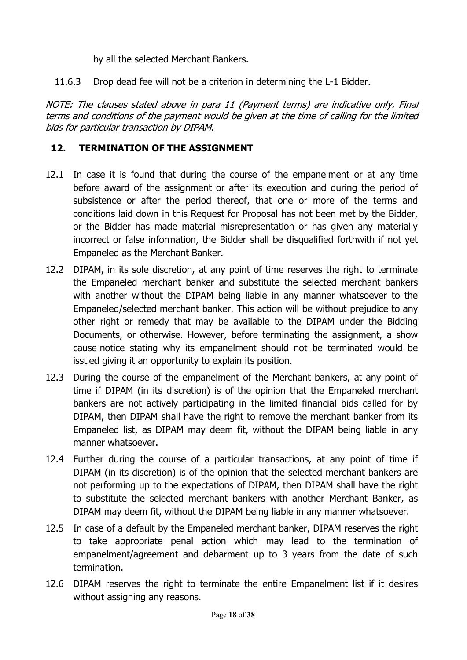by all the selected Merchant Bankers.

11.6.3 Drop dead fee will not be a criterion in determining the L-1 Bidder.

NOTE: The clauses stated above in para 11 (Payment terms) are indicative only. Final terms and conditions of the payment would be given at the time of calling for the limited bids for particular transaction by DIPAM.

## 12. TERMINATION OF THE ASSIGNMENT

- 12.1 In case it is found that during the course of the empanelment or at any time before award of the assignment or after its execution and during the period of subsistence or after the period thereof, that one or more of the terms and conditions laid down in this Request for Proposal has not been met by the Bidder, or the Bidder has made material misrepresentation or has given any materially incorrect or false information, the Bidder shall be disqualified forthwith if not yet Empaneled as the Merchant Banker.
- 12.2 DIPAM, in its sole discretion, at any point of time reserves the right to terminate the Empaneled merchant banker and substitute the selected merchant bankers with another without the DIPAM being liable in any manner whatsoever to the Empaneled/selected merchant banker. This action will be without prejudice to any other right or remedy that may be available to the DIPAM under the Bidding Documents, or otherwise. However, before terminating the assignment, a show cause notice stating why its empanelment should not be terminated would be issued giving it an opportunity to explain its position.
- 12.3 During the course of the empanelment of the Merchant bankers, at any point of time if DIPAM (in its discretion) is of the opinion that the Empaneled merchant bankers are not actively participating in the limited financial bids called for by DIPAM, then DIPAM shall have the right to remove the merchant banker from its Empaneled list, as DIPAM may deem fit, without the DIPAM being liable in any manner whatsoever.
- 12.4 Further during the course of a particular transactions, at any point of time if DIPAM (in its discretion) is of the opinion that the selected merchant bankers are not performing up to the expectations of DIPAM, then DIPAM shall have the right to substitute the selected merchant bankers with another Merchant Banker, as DIPAM may deem fit, without the DIPAM being liable in any manner whatsoever.
- 12.5 In case of a default by the Empaneled merchant banker, DIPAM reserves the right to take appropriate penal action which may lead to the termination of empanelment/agreement and debarment up to 3 years from the date of such termination.
- 12.6 DIPAM reserves the right to terminate the entire Empanelment list if it desires without assigning any reasons.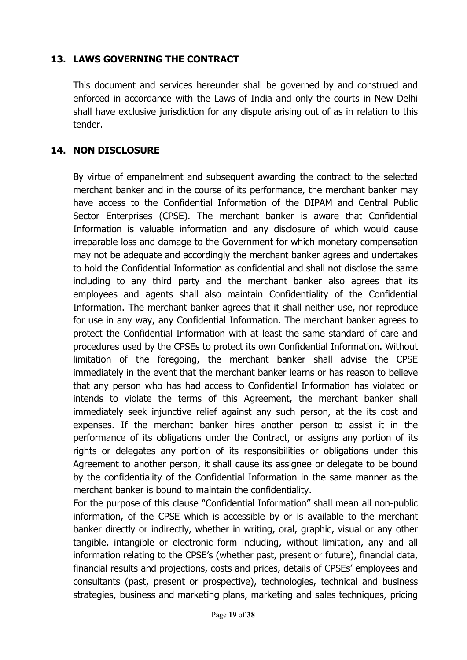### 13. LAWS GOVERNING THE CONTRACT

This document and services hereunder shall be governed by and construed and enforced in accordance with the Laws of India and only the courts in New Delhi shall have exclusive jurisdiction for any dispute arising out of as in relation to this tender.

### 14. NON DISCLOSURE

By virtue of empanelment and subsequent awarding the contract to the selected merchant banker and in the course of its performance, the merchant banker may have access to the Confidential Information of the DIPAM and Central Public Sector Enterprises (CPSE). The merchant banker is aware that Confidential Information is valuable information and any disclosure of which would cause irreparable loss and damage to the Government for which monetary compensation may not be adequate and accordingly the merchant banker agrees and undertakes to hold the Confidential Information as confidential and shall not disclose the same including to any third party and the merchant banker also agrees that its employees and agents shall also maintain Confidentiality of the Confidential Information. The merchant banker agrees that it shall neither use, nor reproduce for use in any way, any Confidential Information. The merchant banker agrees to protect the Confidential Information with at least the same standard of care and procedures used by the CPSEs to protect its own Confidential Information. Without limitation of the foregoing, the merchant banker shall advise the CPSE immediately in the event that the merchant banker learns or has reason to believe that any person who has had access to Confidential Information has violated or intends to violate the terms of this Agreement, the merchant banker shall immediately seek injunctive relief against any such person, at the its cost and expenses. If the merchant banker hires another person to assist it in the performance of its obligations under the Contract, or assigns any portion of its rights or delegates any portion of its responsibilities or obligations under this Agreement to another person, it shall cause its assignee or delegate to be bound by the confidentiality of the Confidential Information in the same manner as the merchant banker is bound to maintain the confidentiality.

For the purpose of this clause "Confidential Information" shall mean all non-public information, of the CPSE which is accessible by or is available to the merchant banker directly or indirectly, whether in writing, oral, graphic, visual or any other tangible, intangible or electronic form including, without limitation, any and all information relating to the CPSE's (whether past, present or future), financial data, financial results and projections, costs and prices, details of CPSEs' employees and consultants (past, present or prospective), technologies, technical and business strategies, business and marketing plans, marketing and sales techniques, pricing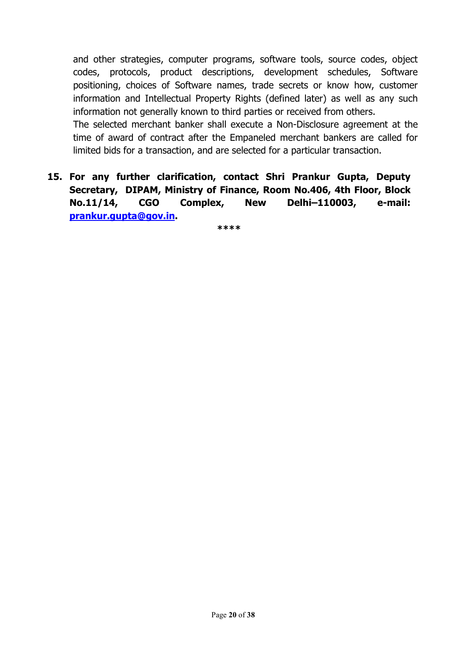and other strategies, computer programs, software tools, source codes, object codes, protocols, product descriptions, development schedules, Software positioning, choices of Software names, trade secrets or know how, customer information and Intellectual Property Rights (defined later) as well as any such information not generally known to third parties or received from others.

The selected merchant banker shall execute a Non-Disclosure agreement at the time of award of contract after the Empaneled merchant bankers are called for limited bids for a transaction, and are selected for a particular transaction.

15. For any further clarification, contact Shri Prankur Gupta, Deputy Secretary, DIPAM, Ministry of Finance, Room No.406, 4th Floor, Block No.11/14, CGO Complex, New Delhi–110003, e-mail: prankur.gupta@gov.in.

\*\*\*\*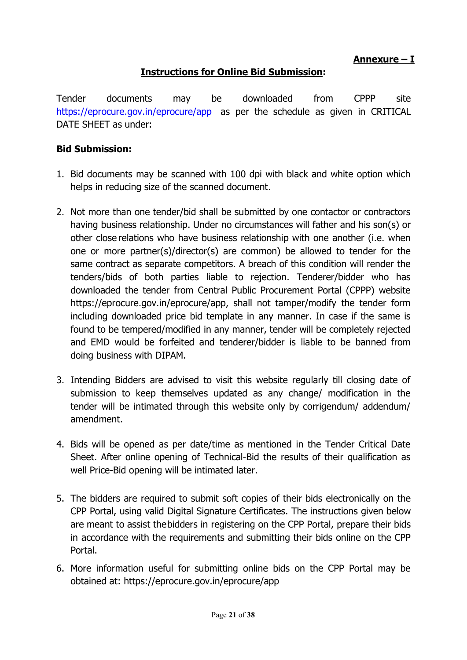Annexure – I

### Instructions for Online Bid Submission:

Tender documents may be downloaded from CPPP site https://eprocure.gov.in/eprocure/app as per the schedule as given in CRITICAL DATE SHEET as under:

#### Bid Submission:

- 1. Bid documents may be scanned with 100 dpi with black and white option which helps in reducing size of the scanned document.
- 2. Not more than one tender/bid shall be submitted by one contactor or contractors having business relationship. Under no circumstances will father and his son(s) or other close relations who have business relationship with one another (i.e. when one or more partner(s)/director(s) are common) be allowed to tender for the same contract as separate competitors. A breach of this condition will render the tenders/bids of both parties liable to rejection. Tenderer/bidder who has downloaded the tender from Central Public Procurement Portal (CPPP) website https://eprocure.gov.in/eprocure/app, shall not tamper/modify the tender form including downloaded price bid template in any manner. In case if the same is found to be tempered/modified in any manner, tender will be completely rejected and EMD would be forfeited and tenderer/bidder is liable to be banned from doing business with DIPAM.
- 3. Intending Bidders are advised to visit this website regularly till closing date of submission to keep themselves updated as any change/ modification in the tender will be intimated through this website only by corrigendum/ addendum/ amendment.
- 4. Bids will be opened as per date/time as mentioned in the Tender Critical Date Sheet. After online opening of Technical-Bid the results of their qualification as well Price-Bid opening will be intimated later.
- 5. The bidders are required to submit soft copies of their bids electronically on the CPP Portal, using valid Digital Signature Certificates. The instructions given below are meant to assist the bidders in registering on the CPP Portal, prepare their bids in accordance with the requirements and submitting their bids online on the CPP Portal.
- 6. More information useful for submitting online bids on the CPP Portal may be obtained at: https://eprocure.gov.in/eprocure/app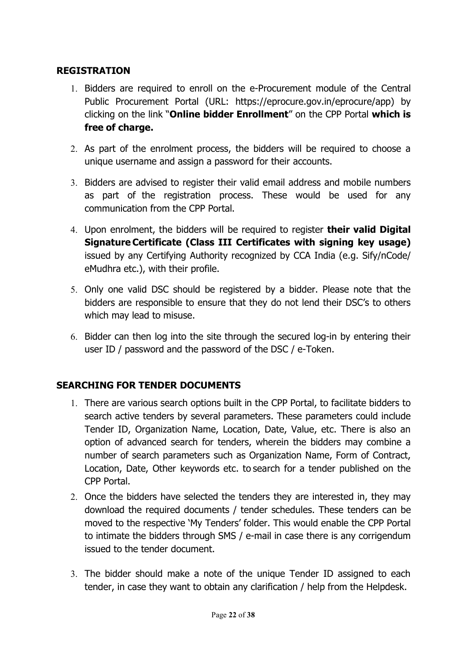### **REGISTRATION**

- 1. Bidders are required to enroll on the e-Procurement module of the Central Public Procurement Portal (URL: https://eprocure.gov.in/eprocure/app) by clicking on the link "Online bidder Enrollment" on the CPP Portal which is free of charge.
- 2. As part of the enrolment process, the bidders will be required to choose a unique username and assign a password for their accounts.
- 3. Bidders are advised to register their valid email address and mobile numbers as part of the registration process. These would be used for any communication from the CPP Portal.
- 4. Upon enrolment, the bidders will be required to register **their valid Digital** Signature Certificate (Class III Certificates with signing key usage) issued by any Certifying Authority recognized by CCA India (e.g. Sify/nCode/ eMudhra etc.), with their profile.
- 5. Only one valid DSC should be registered by a bidder. Please note that the bidders are responsible to ensure that they do not lend their DSC's to others which may lead to misuse.
- 6. Bidder can then log into the site through the secured log-in by entering their user ID / password and the password of the DSC / e-Token.

## SEARCHING FOR TENDER DOCUMENTS

- 1. There are various search options built in the CPP Portal, to facilitate bidders to search active tenders by several parameters. These parameters could include Tender ID, Organization Name, Location, Date, Value, etc. There is also an option of advanced search for tenders, wherein the bidders may combine a number of search parameters such as Organization Name, Form of Contract, Location, Date, Other keywords etc. to search for a tender published on the CPP Portal.
- 2. Once the bidders have selected the tenders they are interested in, they may download the required documents / tender schedules. These tenders can be moved to the respective 'My Tenders' folder. This would enable the CPP Portal to intimate the bidders through SMS / e-mail in case there is any corrigendum issued to the tender document.
- 3. The bidder should make a note of the unique Tender ID assigned to each tender, in case they want to obtain any clarification / help from the Helpdesk.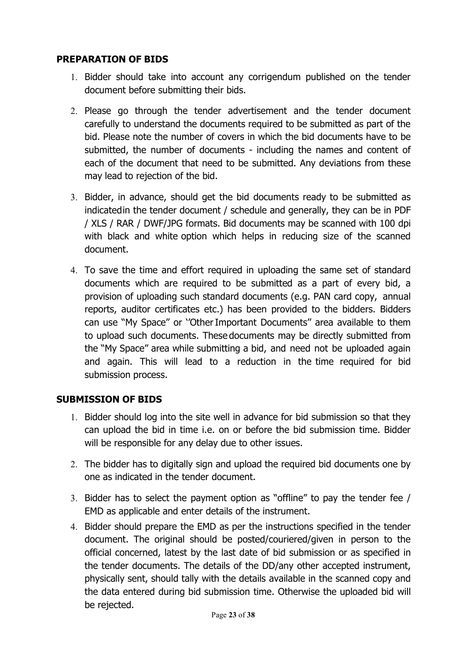#### PREPARATION OF BIDS

- 1. Bidder should take into account any corrigendum published on the tender document before submitting their bids.
- 2. Please go through the tender advertisement and the tender document carefully to understand the documents required to be submitted as part of the bid. Please note the number of covers in which the bid documents have to be submitted, the number of documents - including the names and content of each of the document that need to be submitted. Any deviations from these may lead to rejection of the bid.
- 3. Bidder, in advance, should get the bid documents ready to be submitted as indicated in the tender document / schedule and generally, they can be in PDF / XLS / RAR / DWF/JPG formats. Bid documents may be scanned with 100 dpi with black and white option which helps in reducing size of the scanned document.
- 4. To save the time and effort required in uploading the same set of standard documents which are required to be submitted as a part of every bid, a provision of uploading such standard documents (e.g. PAN card copy, annual reports, auditor certificates etc.) has been provided to the bidders. Bidders can use "My Space" or ''Other Important Documents'' area available to them to upload such documents. These documents may be directly submitted from the "My Space" area while submitting a bid, and need not be uploaded again and again. This will lead to a reduction in the time required for bid submission process.

#### SUBMISSION OF BIDS

- 1. Bidder should log into the site well in advance for bid submission so that they can upload the bid in time i.e. on or before the bid submission time. Bidder will be responsible for any delay due to other issues.
- 2. The bidder has to digitally sign and upload the required bid documents one by one as indicated in the tender document.
- 3. Bidder has to select the payment option as "offline" to pay the tender fee / EMD as applicable and enter details of the instrument.
- 4. Bidder should prepare the EMD as per the instructions specified in the tender document. The original should be posted/couriered/given in person to the official concerned, latest by the last date of bid submission or as specified in the tender documents. The details of the DD/any other accepted instrument, physically sent, should tally with the details available in the scanned copy and the data entered during bid submission time. Otherwise the uploaded bid will be rejected.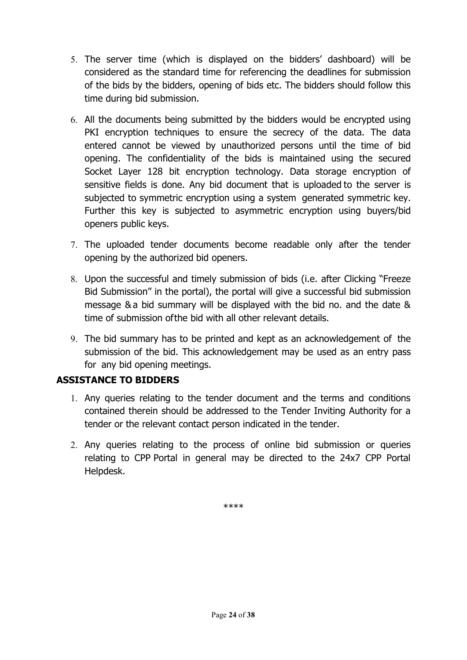- 5. The server time (which is displayed on the bidders' dashboard) will be considered as the standard time for referencing the deadlines for submission of the bids by the bidders, opening of bids etc. The bidders should follow this time during bid submission.
- 6. All the documents being submitted by the bidders would be encrypted using PKI encryption techniques to ensure the secrecy of the data. The data entered cannot be viewed by unauthorized persons until the time of bid opening. The confidentiality of the bids is maintained using the secured Socket Layer 128 bit encryption technology. Data storage encryption of sensitive fields is done. Any bid document that is uploaded to the server is subjected to symmetric encryption using a system generated symmetric key. Further this key is subjected to asymmetric encryption using buyers/bid openers public keys.
- 7. The uploaded tender documents become readable only after the tender opening by the authorized bid openers.
- 8. Upon the successful and timely submission of bids (i.e. after Clicking "Freeze Bid Submission" in the portal), the portal will give a successful bid submission message & a bid summary will be displayed with the bid no. and the date & time of submission of the bid with all other relevant details.
- 9. The bid summary has to be printed and kept as an acknowledgement of the submission of the bid. This acknowledgement may be used as an entry pass for any bid opening meetings.

### ASSISTANCE TO BIDDERS

- 1. Any queries relating to the tender document and the terms and conditions contained therein should be addressed to the Tender Inviting Authority for a tender or the relevant contact person indicated in the tender.
- 2. Any queries relating to the process of online bid submission or queries relating to CPP Portal in general may be directed to the 24x7 CPP Portal Helpdesk.

\*\*\*\*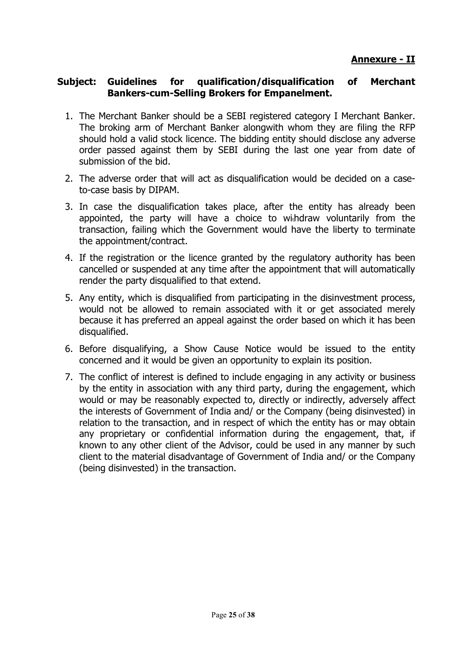#### Subject: Guidelines for qualification/disqualification of Merchant Bankers-cum-Selling Brokers for Empanelment.

- 1. The Merchant Banker should be a SEBI registered category I Merchant Banker. The broking arm of Merchant Banker alongwith whom they are filing the RFP should hold a valid stock licence. The bidding entity should disclose any adverse order passed against them by SEBI during the last one year from date of submission of the bid.
- 2. The adverse order that will act as disqualification would be decided on a caseto-case basis by DIPAM.
- 3. In case the disqualification takes place, after the entity has already been appointed, the party will have a choice to withdraw voluntarily from the transaction, failing which the Government would have the liberty to terminate the appointment/contract.
- 4. If the registration or the licence granted by the regulatory authority has been cancelled or suspended at any time after the appointment that will automatically render the party disqualified to that extend.
- 5. Any entity, which is disqualified from participating in the disinvestment process, would not be allowed to remain associated with it or get associated merely because it has preferred an appeal against the order based on which it has been disqualified.
- 6. Before disqualifying, a Show Cause Notice would be issued to the entity concerned and it would be given an opportunity to explain its position.
- 7. The conflict of interest is defined to include engaging in any activity or business by the entity in association with any third party, during the engagement, which would or may be reasonably expected to, directly or indirectly, adversely affect the interests of Government of India and/ or the Company (being disinvested) in relation to the transaction, and in respect of which the entity has or may obtain any proprietary or confidential information during the engagement, that, if known to any other client of the Advisor, could be used in any manner by such client to the material disadvantage of Government of India and/ or the Company (being disinvested) in the transaction.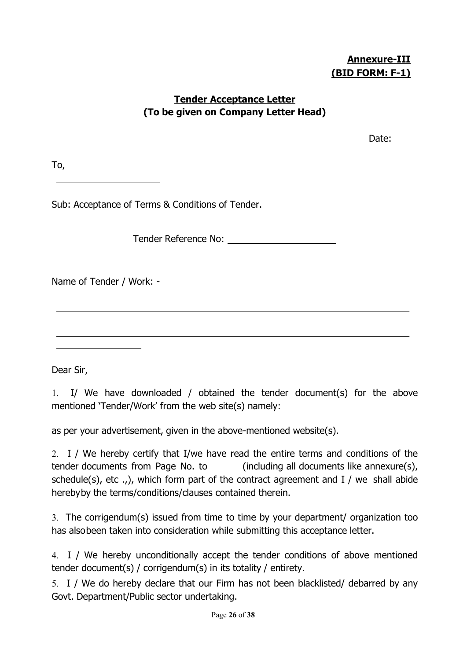# Annexure-III (BID FORM: F-1)

### Tender Acceptance Letter (To be given on Company Letter Head)

discussion of the contract of the contract of the contract of the Date:

To,

Sub: Acceptance of Terms & Conditions of Tender.

Tender Reference No:

Name of Tender / Work: -

Dear Sir,

1. I/ We have downloaded / obtained the tender document(s) for the above mentioned 'Tender/Work' from the web site(s) namely:

as per your advertisement, given in the above-mentioned website(s).

2. I / We hereby certify that I/we have read the entire terms and conditions of the tender documents from Page No.\_to\_\_\_\_\_\_\_\_(including all documents like annexure(s), schedule(s), etc .,), which form part of the contract agreement and  $I /$  we shall abide hereby by the terms/conditions/clauses contained therein.

3. The corrigendum(s) issued from time to time by your department/ organization too has also been taken into consideration while submitting this acceptance letter.

4. I / We hereby unconditionally accept the tender conditions of above mentioned tender document(s) / corrigendum(s) in its totality / entirety.

5. I / We do hereby declare that our Firm has not been blacklisted/ debarred by any Govt. Department/Public sector undertaking.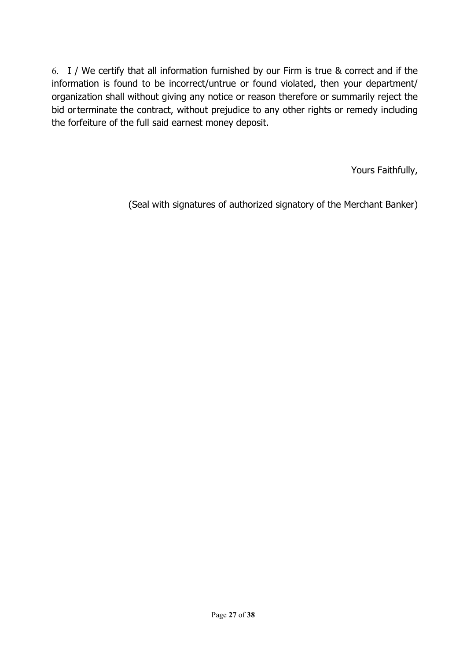6. I / We certify that all information furnished by our Firm is true & correct and if the information is found to be incorrect/untrue or found violated, then your department/ organization shall without giving any notice or reason therefore or summarily reject the bid or terminate the contract, without prejudice to any other rights or remedy including the forfeiture of the full said earnest money deposit.

Yours Faithfully,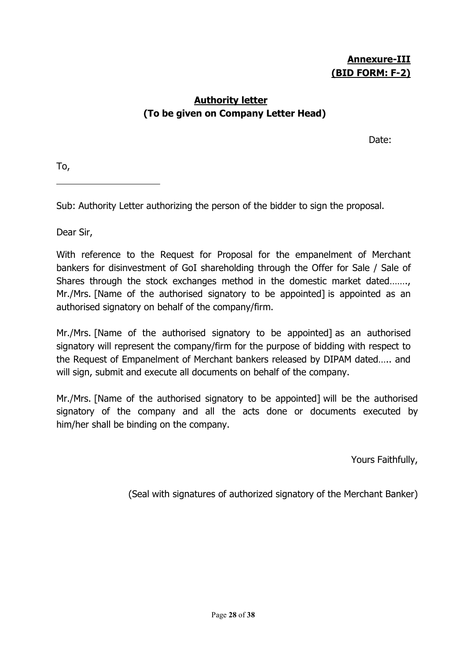## Authority letter (To be given on Company Letter Head)

de la contrata de la contrata de la contrata de la contrata de la contrata de la contrata de la contrata de la

To,

Sub: Authority Letter authorizing the person of the bidder to sign the proposal.

Dear Sir,

With reference to the Request for Proposal for the empanelment of Merchant bankers for disinvestment of GoI shareholding through the Offer for Sale / Sale of Shares through the stock exchanges method in the domestic market dated……., Mr./Mrs. [Name of the authorised signatory to be appointed] is appointed as an authorised signatory on behalf of the company/firm.

Mr./Mrs. [Name of the authorised signatory to be appointed] as an authorised signatory will represent the company/firm for the purpose of bidding with respect to the Request of Empanelment of Merchant bankers released by DIPAM dated….. and will sign, submit and execute all documents on behalf of the company.

Mr./Mrs. [Name of the authorised signatory to be appointed] will be the authorised signatory of the company and all the acts done or documents executed by him/her shall be binding on the company.

Yours Faithfully,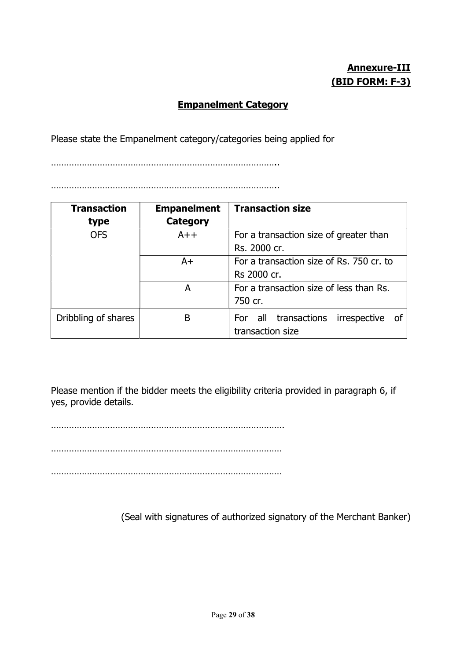# Annexure-III (BID FORM: F-3)

### Empanelment Category

Please state the Empanelment category/categories being applied for

……………………………………………………………………………..

……………………………………………………………………………..

| <b>Transaction</b><br>type | <b>Empanelment</b><br><b>Category</b> | <b>Transaction size</b>                                     |  |  |  |
|----------------------------|---------------------------------------|-------------------------------------------------------------|--|--|--|
| <b>OFS</b>                 | $A++$                                 | For a transaction size of greater than<br>Rs. 2000 cr.      |  |  |  |
|                            | $A+$                                  | For a transaction size of Rs. 750 cr. to<br>Rs 2000 cr.     |  |  |  |
|                            | A                                     | For a transaction size of less than Rs.<br>750 cr.          |  |  |  |
| Dribbling of shares        | B                                     | For all transactions<br>irrespective of<br>transaction size |  |  |  |

Please mention if the bidder meets the eligibility criteria provided in paragraph 6, if yes, provide details.

……………………………………………………………………………….

………………………………………………………………………………

………………………………………………………………………………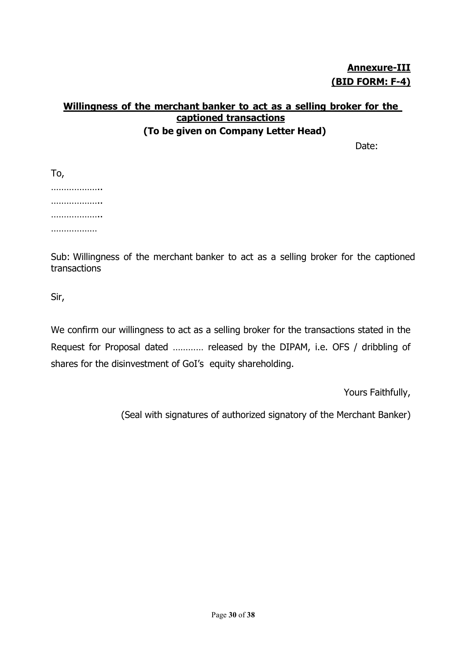Annexure-III (BID FORM: F-4)

## Willingness of the merchant banker to act as a selling broker for the captioned transactions (To be given on Company Letter Head)

Date:

| To, |              |   |  |
|-----|--------------|---|--|
|     |              | . |  |
|     |              | . |  |
|     |              | . |  |
|     | . <b>.</b> . |   |  |

Sub: Willingness of the merchant banker to act as a selling broker for the captioned transactions

Sir,

We confirm our willingness to act as a selling broker for the transactions stated in the Request for Proposal dated ………… released by the DIPAM, i.e. OFS / dribbling of shares for the disinvestment of GoI's equity shareholding.

Yours Faithfully,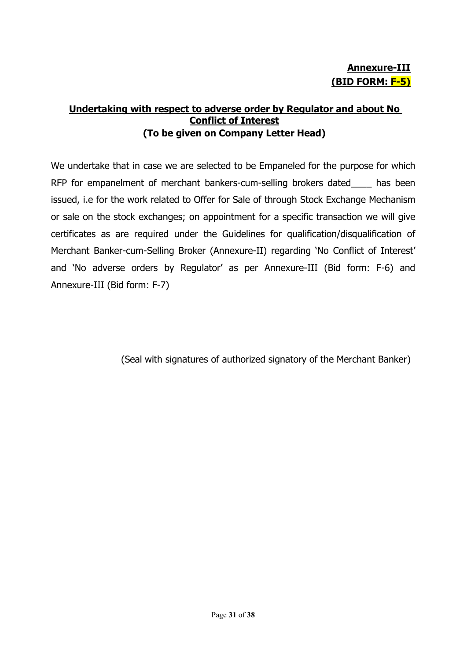### Undertaking with respect to adverse order by Regulator and about No Conflict of Interest (To be given on Company Letter Head)

We undertake that in case we are selected to be Empaneled for the purpose for which RFP for empanelment of merchant bankers-cum-selling brokers dated\_\_\_\_ has been issued, i.e for the work related to Offer for Sale of through Stock Exchange Mechanism or sale on the stock exchanges; on appointment for a specific transaction we will give certificates as are required under the Guidelines for qualification/disqualification of Merchant Banker-cum-Selling Broker (Annexure-II) regarding 'No Conflict of Interest' and 'No adverse orders by Regulator' as per Annexure-III (Bid form: F-6) and Annexure-III (Bid form: F-7)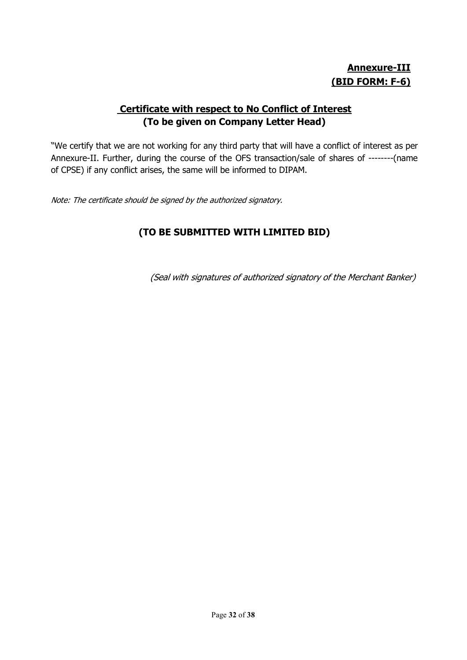# Annexure-III (BID FORM: F-6)

## Certificate with respect to No Conflict of Interest (To be given on Company Letter Head)

"We certify that we are not working for any third party that will have a conflict of interest as per Annexure-II. Further, during the course of the OFS transaction/sale of shares of --------(name of CPSE) if any conflict arises, the same will be informed to DIPAM.

Note: The certificate should be signed by the authorized signatory.

# (TO BE SUBMITTED WITH LIMITED BID)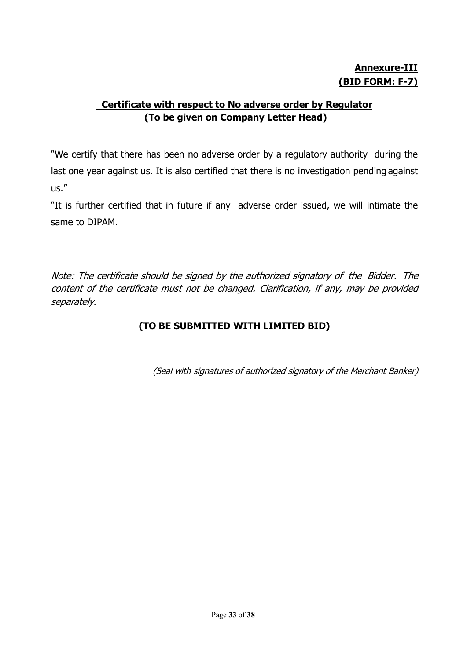# Annexure-III (BID FORM: F-7)

# Certificate with respect to No adverse order by Regulator (To be given on Company Letter Head)

"We certify that there has been no adverse order by a regulatory authority during the last one year against us. It is also certified that there is no investigation pending against us."

"It is further certified that in future if any adverse order issued, we will intimate the same to DIPAM.

Note: The certificate should be signed by the authorized signatory of the Bidder. The content of the certificate must not be changed. Clarification, if any, may be provided separately.

# (TO BE SUBMITTED WITH LIMITED BID)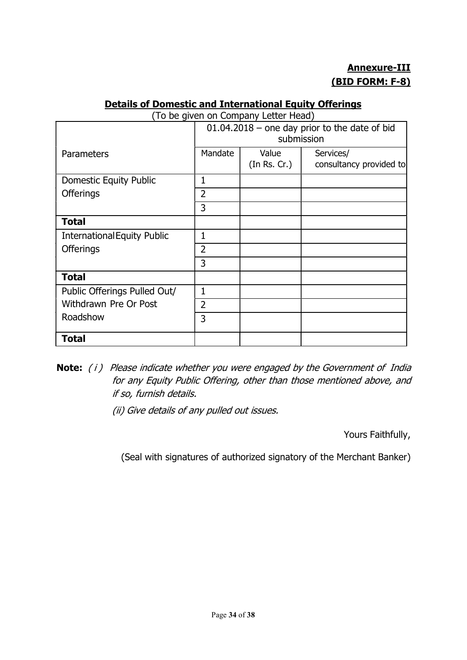# Annexure-III (BID FORM: F-8)

#### Details of Domestic and International Equity Offerings

|  |  |  | (To be given on Company Letter Head) |  |
|--|--|--|--------------------------------------|--|
|  |  |  |                                      |  |

|                                    |                | id be given on company Ectter ricad<br>$01.04.2018$ – one day prior to the date of bid<br>submission |                                      |  |
|------------------------------------|----------------|------------------------------------------------------------------------------------------------------|--------------------------------------|--|
| Parameters                         | Mandate        | Value<br>(In Rs. Cr.)                                                                                | Services/<br>consultancy provided to |  |
| <b>Domestic Equity Public</b>      | 1              |                                                                                                      |                                      |  |
| <b>Offerings</b>                   | 2              |                                                                                                      |                                      |  |
|                                    | 3              |                                                                                                      |                                      |  |
| <b>Total</b>                       |                |                                                                                                      |                                      |  |
| <b>International Equity Public</b> | 1              |                                                                                                      |                                      |  |
| <b>Offerings</b>                   | $\overline{2}$ |                                                                                                      |                                      |  |
|                                    | 3              |                                                                                                      |                                      |  |
| <b>Total</b>                       |                |                                                                                                      |                                      |  |
| Public Offerings Pulled Out/       | $\mathbf{1}$   |                                                                                                      |                                      |  |
| Withdrawn Pre Or Post              | $\overline{2}$ |                                                                                                      |                                      |  |
| Roadshow                           | 3              |                                                                                                      |                                      |  |
| <b>Total</b>                       |                |                                                                                                      |                                      |  |

- Note: (i) Please indicate whether you were engaged by the Government of India for any Equity Public Offering, other than those mentioned above, and if so, furnish details.
	- (ii) Give details of any pulled out issues.

Yours Faithfully,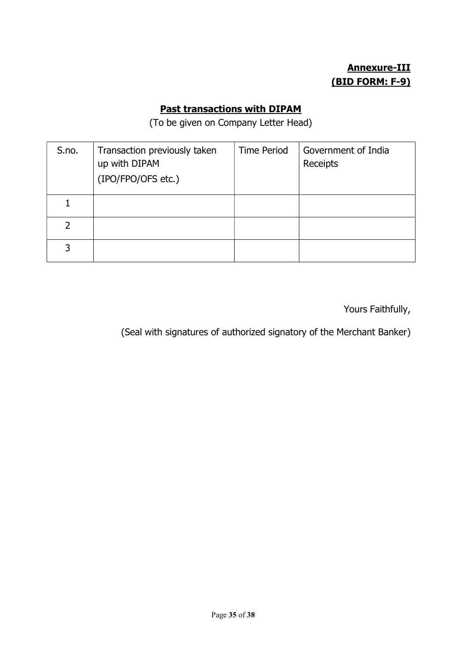# Annexure-III (BID FORM: F-9)

# Past transactions with DIPAM

(To be given on Company Letter Head)

| S.no. | Transaction previously taken<br>up with DIPAM<br>(IPO/FPO/OFS etc.) | <b>Time Period</b> | Government of India<br>Receipts |
|-------|---------------------------------------------------------------------|--------------------|---------------------------------|
|       |                                                                     |                    |                                 |
| 2     |                                                                     |                    |                                 |
| 3     |                                                                     |                    |                                 |

Yours Faithfully,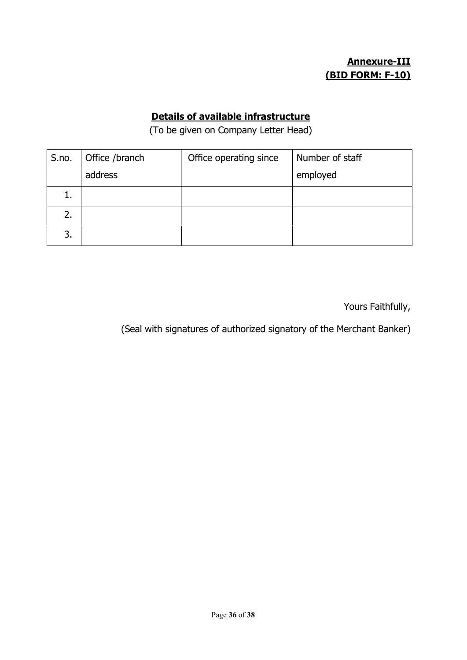# Annexure-III (BID FORM: F-10)

#### Details of available infrastructure

(To be given on Company Letter Head)

| S.no. | Office /branch | Office operating since | Number of staff |
|-------|----------------|------------------------|-----------------|
|       | address        |                        | employed        |
| ī.    |                |                        |                 |
| 2.    |                |                        |                 |
| 3.    |                |                        |                 |

Yours Faithfully,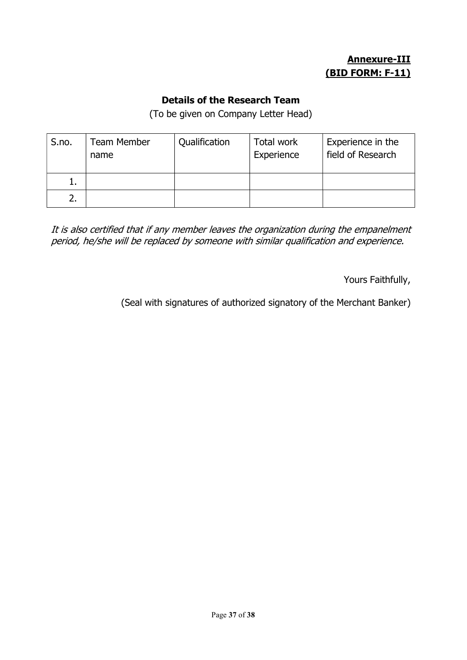# Annexure-III (BID FORM: F-11)

#### Details of the Research Team

(To be given on Company Letter Head)

| S.no. | <b>Team Member</b><br>name | Qualification | Total work<br>Experience | Experience in the<br>field of Research |
|-------|----------------------------|---------------|--------------------------|----------------------------------------|
| ı.    |                            |               |                          |                                        |
|       |                            |               |                          |                                        |

It is also certified that if any member leaves the organization during the empanelment period, he/she will be replaced by someone with similar qualification and experience.

Yours Faithfully,